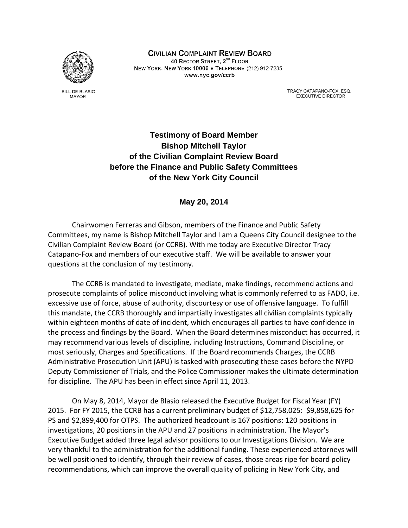

**BILL DE BLASIO MAYOR** 

CIVILIAN COMPLAINT REVIEW BOARD 40 RECTOR STREET, 2<sup>ND</sup> FLOOR NEW YORK, NEW YORK 10006 + TELEPHONE (212) 912-7235 www.nyc.gov/ccrb

> TRACY CATAPANO-FOX, ESQ. **EXECUTIVE DIRECTOR**

# **Testimony of Board Member Bishop Mitchell Taylor of the Civilian Complaint Review Board before the Finance and Public Safety Committees of the New York City Council**

## **May 20, 2014**

Chairwomen Ferreras and Gibson, members of the Finance and Public Safety Committees, my name is Bishop Mitchell Taylor and I am a Queens City Council designee to the Civilian Complaint Review Board (or CCRB). With me today are Executive Director Tracy Catapano‐Fox and members of our executive staff. We will be available to answer your questions at the conclusion of my testimony.

The CCRB is mandated to investigate, mediate, make findings, recommend actions and prosecute complaints of police misconduct involving what is commonly referred to as FADO, i.e. excessive use of force, abuse of authority, discourtesy or use of offensive language. To fulfill this mandate, the CCRB thoroughly and impartially investigates all civilian complaints typically within eighteen months of date of incident, which encourages all parties to have confidence in the process and findings by the Board. When the Board determines misconduct has occurred, it may recommend various levels of discipline, including Instructions, Command Discipline, or most seriously, Charges and Specifications. If the Board recommends Charges, the CCRB Administrative Prosecution Unit (APU) is tasked with prosecuting these cases before the NYPD Deputy Commissioner of Trials, and the Police Commissioner makes the ultimate determination for discipline. The APU has been in effect since April 11, 2013.

On May 8, 2014, Mayor de Blasio released the Executive Budget for Fiscal Year (FY) 2015. For FY 2015, the CCRB has a current preliminary budget of \$12,758,025: \$9,858,625 for PS and \$2,899,400 for OTPS. The authorized headcount is 167 positions: 120 positions in investigations, 20 positions in the APU and 27 positions in administration. The Mayor's Executive Budget added three legal advisor positions to our Investigations Division. We are very thankful to the administration for the additional funding. These experienced attorneys will be well positioned to identify, through their review of cases, those areas ripe for board policy recommendations, which can improve the overall quality of policing in New York City, and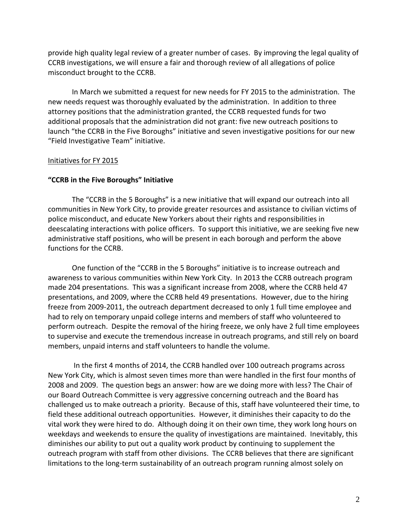provide high quality legal review of a greater number of cases. By improving the legal quality of CCRB investigations, we will ensure a fair and thorough review of all allegations of police misconduct brought to the CCRB.

In March we submitted a request for new needs for FY 2015 to the administration. The new needs request was thoroughly evaluated by the administration. In addition to three attorney positions that the administration granted, the CCRB requested funds for two additional proposals that the administration did not grant: five new outreach positions to launch "the CCRB in the Five Boroughs" initiative and seven investigative positions for our new "Field Investigative Team" initiative.

### Initiatives for FY 2015

### **"CCRB in the Five Boroughs" Initiative**

The "CCRB in the 5 Boroughs" is a new initiative that will expand our outreach into all communities in New York City, to provide greater resources and assistance to civilian victims of police misconduct, and educate New Yorkers about their rights and responsibilities in deescalating interactions with police officers. To support this initiative, we are seeking five new administrative staff positions, who will be present in each borough and perform the above functions for the CCRB.

One function of the "CCRB in the 5 Boroughs" initiative is to increase outreach and awareness to various communities within New York City. In 2013 the CCRB outreach program made 204 presentations. This was a significant increase from 2008, where the CCRB held 47 presentations, and 2009, where the CCRB held 49 presentations. However, due to the hiring freeze from 2009‐2011, the outreach department decreased to only 1 full time employee and had to rely on temporary unpaid college interns and members of staff who volunteered to perform outreach. Despite the removal of the hiring freeze, we only have 2 full time employees to supervise and execute the tremendous increase in outreach programs, and still rely on board members, unpaid interns and staff volunteers to handle the volume.

In the first 4 months of 2014, the CCRB handled over 100 outreach programs across New York City, which is almost seven times more than were handled in the first four months of 2008 and 2009. The question begs an answer: how are we doing more with less? The Chair of our Board Outreach Committee is very aggressive concerning outreach and the Board has challenged us to make outreach a priority. Because of this, staff have volunteered their time, to field these additional outreach opportunities. However, it diminishes their capacity to do the vital work they were hired to do. Although doing it on their own time, they work long hours on weekdays and weekends to ensure the quality of investigations are maintained. Inevitably, this diminishes our ability to put out a quality work product by continuing to supplement the outreach program with staff from other divisions. The CCRB believes that there are significant limitations to the long‐term sustainability of an outreach program running almost solely on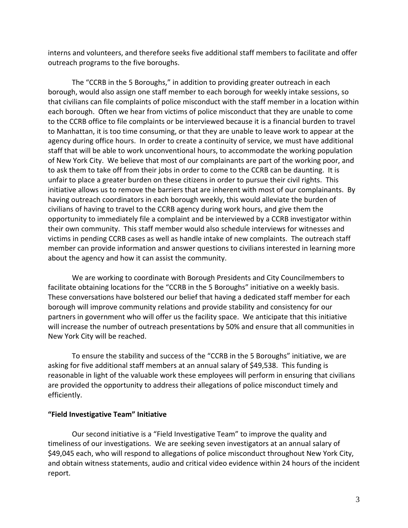interns and volunteers, and therefore seeks five additional staff members to facilitate and offer outreach programs to the five boroughs.

The "CCRB in the 5 Boroughs," in addition to providing greater outreach in each borough, would also assign one staff member to each borough for weekly intake sessions, so that civilians can file complaints of police misconduct with the staff member in a location within each borough. Often we hear from victims of police misconduct that they are unable to come to the CCRB office to file complaints or be interviewed because it is a financial burden to travel to Manhattan, it is too time consuming, or that they are unable to leave work to appear at the agency during office hours. In order to create a continuity of service, we must have additional staff that will be able to work unconventional hours, to accommodate the working population of New York City. We believe that most of our complainants are part of the working poor, and to ask them to take off from their jobs in order to come to the CCRB can be daunting. It is unfair to place a greater burden on these citizens in order to pursue their civil rights. This initiative allows us to remove the barriers that are inherent with most of our complainants. By having outreach coordinators in each borough weekly, this would alleviate the burden of civilians of having to travel to the CCRB agency during work hours, and give them the opportunity to immediately file a complaint and be interviewed by a CCRB investigator within their own community. This staff member would also schedule interviews for witnesses and victims in pending CCRB cases as well as handle intake of new complaints. The outreach staff member can provide information and answer questions to civilians interested in learning more about the agency and how it can assist the community.

We are working to coordinate with Borough Presidents and City Councilmembers to facilitate obtaining locations for the "CCRB in the 5 Boroughs" initiative on a weekly basis. These conversations have bolstered our belief that having a dedicated staff member for each borough will improve community relations and provide stability and consistency for our partners in government who will offer us the facility space. We anticipate that this initiative will increase the number of outreach presentations by 50% and ensure that all communities in New York City will be reached.

To ensure the stability and success of the "CCRB in the 5 Boroughs" initiative, we are asking for five additional staff members at an annual salary of \$49,538. This funding is reasonable in light of the valuable work these employees will perform in ensuring that civilians are provided the opportunity to address their allegations of police misconduct timely and efficiently.

#### **"Field Investigative Team" Initiative**

Our second initiative is a "Field Investigative Team" to improve the quality and timeliness of our investigations. We are seeking seven investigators at an annual salary of \$49,045 each, who will respond to allegations of police misconduct throughout New York City, and obtain witness statements, audio and critical video evidence within 24 hours of the incident report.